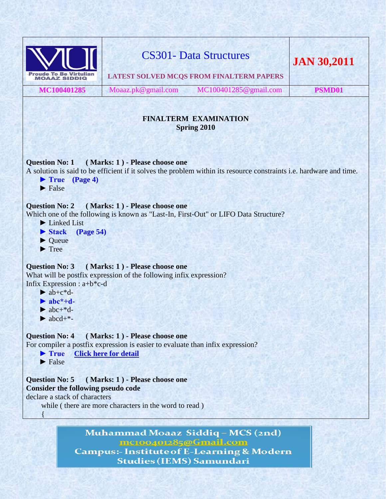

**Campus:- Institute of E-Learning & Modern Studies (IEMS) Samundari**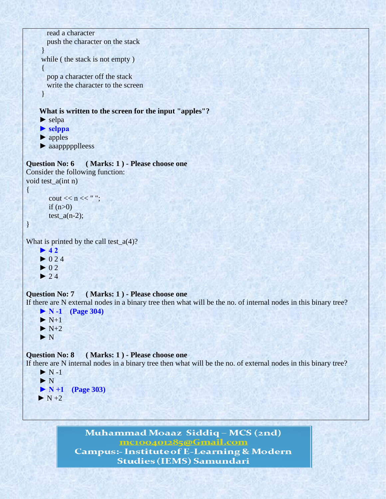```
 read a character 
        push the character on the stack 
       } 
      while ( the stack is not empty ) 
\left\{ \begin{array}{c} \end{array} \right\} pop a character off the stack 
        write the character to the screen 
      } 
      What is written to the screen for the input "apples"?
      ► selpa 
      ► selppa 
      ► apples
      ► aaappppplleess
Question No: 6 ( Marks: 1 ) - Please choose one
Consider the following function:
void test_a(int n)
{
```

```
cout << n << "";
if (n>0)test_a(n-2);
```

```
}
```
What is printed by the call test $(a(4))$ ?

 **► 4 2**  $\blacktriangleright$  024  $\blacktriangleright$  02  $\blacktriangleright$  2.4

### **Question No: 7 ( Marks: 1 ) - Please choose one**

If there are N external nodes in a binary tree then what will be the no. of internal nodes in this binary tree?

```
 ► N -1 (Page 304)
\blacktriangleright N+1
\blacktriangleright N+2
 ► N
```
### **Question No: 8 ( Marks: 1 ) - Please choose one**

If there are N internal nodes in a binary tree then what will be the no. of external nodes in this binary tree?

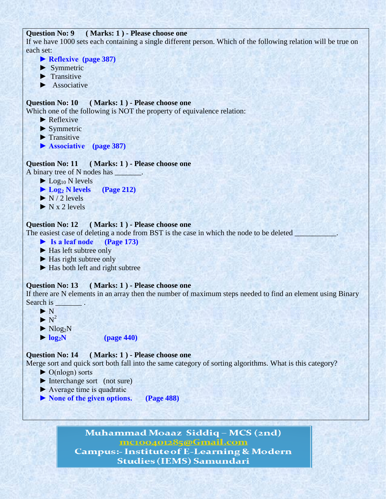# **Question No: 9 ( Marks: 1 ) - Please choose one**

If we have 1000 sets each containing a single different person. Which of the following relation will be true on each set:

- **► Reflexive (page 387)**
- **►** Symmetric
- ▶ Transitive
- ▶ **Associative**

# **Question No: 10 ( Marks: 1 ) - Please choose one**

Which one of the following is NOT the property of equivalence relation:

- ▶ Reflexive
- **►** Symmetric
- ▶ Transitive
- **► Associative (page 387)**

### **Question No: 11 ( Marks: 1 ) - Please choose one**

A binary tree of N nodes has \_\_\_\_\_\_\_\_.

- $\blacktriangleright$  Log<sub>10</sub> N levels
- **► Log<sup>2</sup> N levels (Page 212)**
- $\triangleright$  N / 2 levels
- ▶ **N** x 2 levels

# **Question No: 12 ( Marks: 1 ) - Please choose one**

The easiest case of deleting a node from BST is the case in which the node to be deleted

- **► Is a leaf node (Page 173)**
- ► Has left subtree only
- ► Has right subtree only
- ► Has both left and right subtree

### **Question No: 13 ( Marks: 1 ) - Please choose one**

If there are N elements in an array then the number of maximum steps needed to find an element using Binary Search is

- **►** N
- $\blacktriangleright$  N<sup>2</sup>
	- $\blacktriangleright$  Nlog<sub>2</sub>N
	- $\blacktriangleright$   $log_2N$  (page 440)

# **Question No: 14 ( Marks: 1 ) - Please choose one**

Merge sort and quick sort both fall into the same category of sorting algorithms. What is this category?

- ► O(nlogn) sorts
- ► Interchange sort (not sure)
- $\blacktriangleright$  Average time is quadratic
- **► None of the given options. (Page 488)**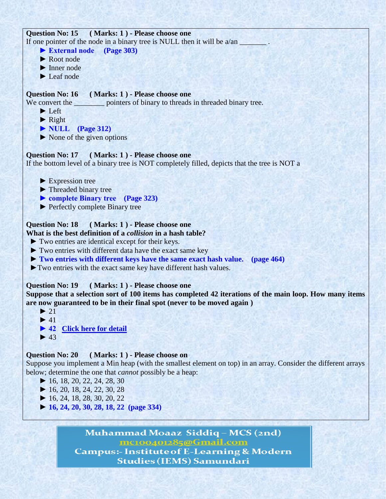

mc100401285@Gmail.com **Campus:- Institute of E-Learning & Modern Studies (IEMS) Samundari**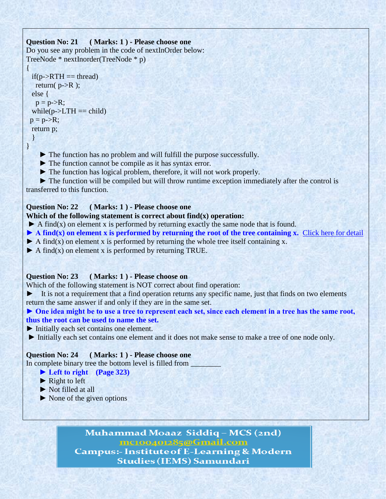# **Question No: 21 ( Marks: 1 ) - Please choose one**

Do you see any problem in the code of nextInOrder below: TreeNode \* nextInorder(TreeNode \* p)

```
{ 
 if(p > RTH == thread)return(p->R );
  else { 
  p = p > R;
 while(p->LTH == child)
p = p > R;
  return p; 
  }
```

```
}
```
 **►** The function has no problem and will fulfill the purpose successfully.

▶ The function cannot be compile as it has syntax error.

 **►** The function has logical problem, therefore, it will not work properly.

**► The function will be compiled but will throw runtime exception immediately after the control is** transferred to this function.

# **Question No: 22 ( Marks: 1 ) - Please choose one**

# **Which of the following statement is correct about find(x) operation:**

**►** A find(x) on element x is performed by returning exactly the same node that is found.

- $\blacktriangleright$  A find(x) on element x is performed by returning the root of the tree containing x. [Click here for detail](http://books.google.com.pk/books?id=JiC7mIqg-X4C&pg=PA23&lpg=PA23&dq=A+find(x)+on+element+x+is+performed+by+returning+the+root+of+the+tree+containing+x&source=bl&ots=8gkhlm2vS_&sig=T7DMu40JmdXPibFLTm4wKteI7Lc&hl=en&sa=X&ei=PdMVT5rZMOWA4gTD-dT6Aw&ved=0CCMQ)
- $\blacktriangleright$  A find(x) on element x is performed by returning the whole tree itself containing x.
- **►** A find(x) on element x is performed by returning TRUE.

# **Question No: 23 ( Marks: 1 ) - Please choose on**

Which of the following statement is NOT correct about find operation:

**►** It is not a requirement that a find operation returns any specific name, just that finds on two elements return the same answer if and only if they are in the same set.

#### **► One idea might be to use a tree to represent each set, since each element in a tree has the same root, thus the root can be used to name the set.**

- **►** Initially each set contains one element.
- ► Initially each set contains one element and it does not make sense to make a tree of one node only.

# **Question No: 24 ( Marks: 1 ) - Please choose one**

In complete binary tree the bottom level is filled from

# **► Left to right (Page 323)**

- **► Right to left**
- ▶ Not filled at all
- **►** None of the given options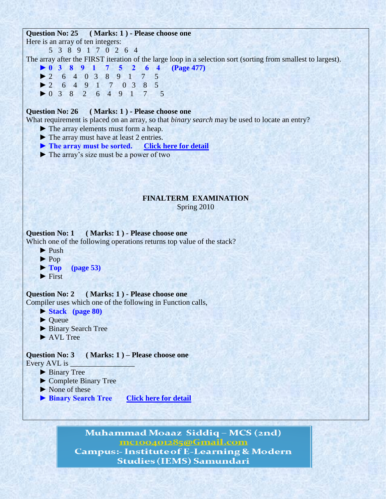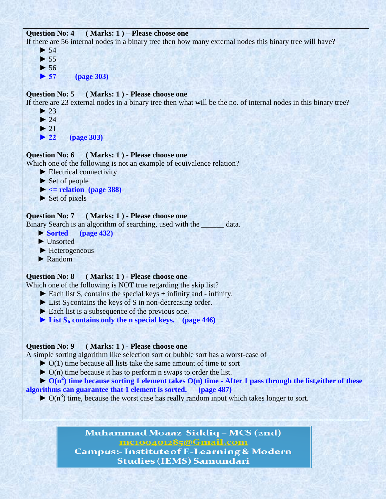```
Question No: 4 ( Marks: 1 ) – Please choose one
```
If there are 56 internal nodes in a binary tree then how many external nodes this binary tree will have?

```
 ► 54
\blacktriangleright 55
 ► 56
 ► 57 (page 303)
```
# **Question No: 5 ( Marks: 1 ) - Please choose one**

If there are 23 external nodes in a binary tree then what will be the no. of internal nodes in this binary tree?

- $\blacktriangleright$  23  $\blacktriangleright$  24
- $\blacktriangleright$  21
- **► 22 (page 303)**

#### **Question No: 6 ( Marks: 1 ) - Please choose one**

Which one of the following is not an example of equivalence relation?

- **►** Electrical connectivity
- **►** Set of people
- $\blacktriangleright$   $\lt$  = relation (page 388)
- **►** Set of pixels

# **Question No: 7 ( Marks: 1 ) - Please choose one**

Binary Search is an algorithm of searching, used with the \_\_\_\_\_\_ data.

- **► Sorted (page 432)**
- **►** Unsorted
- ▶ **Heterogeneous**
- **►** Random

#### **Question No: 8 ( Marks: 1 ) - Please choose one**

Which one of the following is NOT true regarding the skip list?

- $\blacktriangleright$  Each list S<sub>i</sub> contains the special keys + infinity and infinity.
- $\blacktriangleright$  List S<sub>0</sub> contains the keys of S in non-decreasing order.
- ► Each list is a subsequence of the previous one.
- $\blacktriangleright$  List  $S_h$  contains only the n special keys. (page 446)

### **Question No: 9 ( Marks: 1 ) - Please choose one**

A simple sorting algorithm like selection sort or bubble sort has a worst-case of

- **►** O(1) time because all lists take the same amount of time to sort
- **►** O(n) time because it has to perform n swaps to order the list.
- $\rightarrow$  O(n<sup>2</sup>) time because sorting 1 element takes O(n) time After 1 pass through the list, either of these

# **algorithms can guarantee that 1 element is sorted. (page 487)**

 $\triangleright$  O(n<sup>3</sup>) time, because the worst case has really random input which takes longer to sort.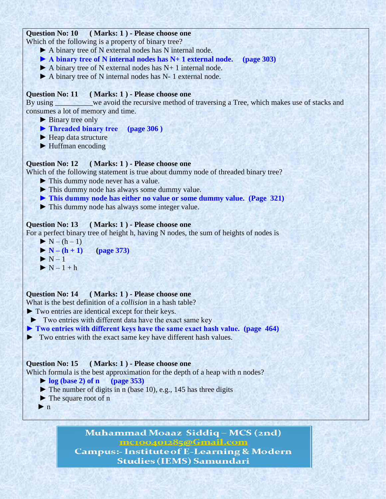# **Question No: 10 ( Marks: 1 ) - Please choose one**

Which of the following is a property of binary tree?

- ▶ A binary tree of N external nodes has N internal node.
- **► A binary tree of N internal nodes has N+ 1 external node. (page 303)**
- **►** A binary tree of N external nodes has N+ 1 internal node.
- **►** A binary tree of N internal nodes has N- 1 external node.

# **Question No: 11 ( Marks: 1 ) - Please choose one**

By using we avoid the recursive method of traversing a Tree, which makes use of stacks and consumes a lot of memory and time.

- ▶ Binary tree only
- **► Threaded binary tree (page 306 )**
- ▶ **Heap data structure**
- ▶ Huffman encoding

# **Question No: 12 ( Marks: 1 ) - Please choose one**

Which of the following statement is true about dummy node of threaded binary tree?

- ► This dummy node never has a value.
- ▶ This dummy node has always some dummy value.
- **► This dummy node has either no value or some dummy value. (Page 321)**
- ► This dummy node has always some integer value.

# **Question No: 13 ( Marks: 1 ) - Please choose one**

For a perfect binary tree of height h, having N nodes, the sum of heights of nodes is

- $\blacktriangleright N (h 1)$
- $\blacktriangleright$  **N (h** + 1) (page 373)
- $\blacktriangleright$  N 1
- $\blacktriangleright$  N 1 + h

# **Question No: 14 ( Marks: 1 ) - Please choose one**

What is the best definition of a *collision* in a hash table?

- **►** Two entries are identical except for their keys.
- ► Two entries with different data have the exact same key
- **► Two entries with different keys have the same exact hash value. (page 464)**
- **►** Two entries with the exact same key have different hash values.

# **Question No: 15 ( Marks: 1 ) - Please choose one**

- Which formula is the best approximation for the depth of a heap with n nodes?
	- **► log (base 2) of n (page 353)**
	- **►** The number of digits in n (base 10), e.g., 145 has three digits
	- **►** The square root of n
	- $\blacktriangleright$  n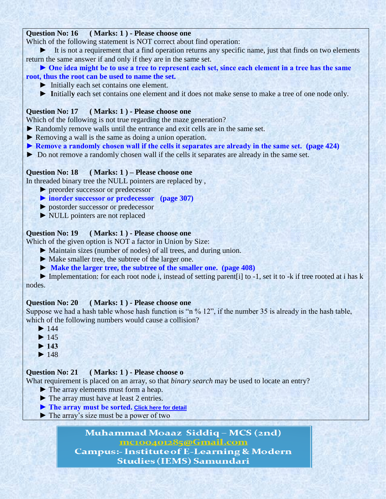# **Question No: 16 ( Marks: 1 ) - Please choose one**

Which of the following statement is NOT correct about find operation:

 **►** It is not a requirement that a find operation returns any specific name, just that finds on two elements return the same answer if and only if they are in the same set.

# ► One idea might be to use a tree to represent each set, since each element in a tree has the same **root, thus the root can be used to name the set.**

- **►** Initially each set contains one element.
- ► Initially each set contains one element and it does not make sense to make a tree of one node only.

# **Question No: 17 ( Marks: 1 ) - Please choose one**

Which of the following is not true regarding the maze generation?

- **►** Randomly remove walls until the entrance and exit cells are in the same set.
- **►** Removing a wall is the same as doing a union operation.
- **► Remove a randomly chosen wall if the cells it separates are already in the same set. (page 424)**
- **►** Do not remove a randomly chosen wall if the cells it separates are already in the same set.

#### **Question No: 18 ( Marks: 1 ) – Please choose one**

In threaded binary tree the NULL pointers are replaced by ,

 **►** preorder successor or predecessor

# **► inorder successor or predecessor (page 307)**

- **►** postorder successor or predecessor
- **►** NULL pointers are not replaced

#### **Question No: 19 ( Marks: 1 ) - Please choose one**

Which of the given option is NOT a factor in Union by Size:

- **►** Maintain sizes (number of nodes) of all trees, and during union.
- ► Make smaller tree, the subtree of the larger one.
- **► Make the larger tree, the subtree of the smaller one. (page 408)**
- **►** Implementation: for each root node i, instead of setting parent[i] to -1, set it to -k if tree rooted at i has k nodes.

### **Question No: 20 ( Marks: 1 ) - Please choose one**

Suppose we had a hash table whose hash function is "n % 12", if the number 35 is already in the hash table, which of the following numbers would cause a collision?

- **►** 144
- $\triangleright$  145
- **► 143**
- $\blacktriangleright$  148

#### **Question No: 21 ( Marks: 1 ) - Please choose o**

What requirement is placed on an array, so that *binary search* may be used to locate an entry?

- ▶ The array elements must form a heap.
- ► The array must have at least 2 entries.
- ▶ The array must be sorted. [Click here for detail](http://techinfogurus.com/modules/quiz/quiz.php?cat=3&lvl=0)
- **►** The array"s size must be a power of two

Muhammad Moaaz Siddiq - MCS (2nd) mc100401285@Gmail.com

**Campus:- Institute of E-Learning & Modern Studies (IEMS) Samundari**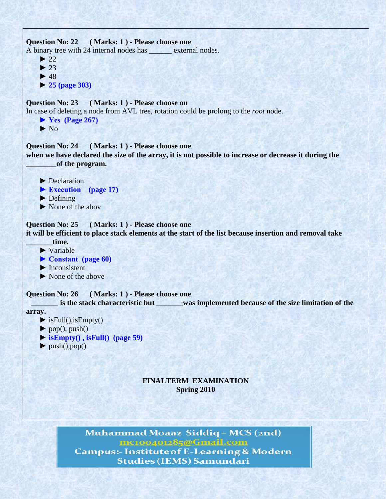```
Question No: 22 ( Marks: 1 ) - Please choose one
A binary tree with 24 internal nodes has external nodes.
    \blacktriangleright 22
    \blacktriangleright 23
     ► 48
     ► 25 (page 303)
Question No: 23 ( Marks: 1 ) - Please choose on
In case of deleting a node from AVL tree, rotation could be prolong to the root node.
      ► Yes (Page 267)
     \blacktriangleright No.
Question No: 24 ( Marks: 1 ) - Please choose one
when we have declared the size of the array, it is not possible to increase or decrease it during the 
          ________of the program. 
     ▶ Declaration
     ▶ Execution (page 17)
     ▶ Defining
     ► None of the abov
Question No: 25 ( Marks: 1 ) - Please choose one
it will be efficient to place stack elements at the start of the list because insertion and removal take 
         _______time.
     ► Variable
      ► Constant (page 60)
      ► Inconsistent
      ► None of the above
Question No: 26 ( Marks: 1 ) - Please choose one
          _______ is the stack characteristic but _______was implemented because of the size limitation of the
array.
     \blacktriangleright is Full(), is Empty()
     \blacktriangleright pop(), push()
     \triangleright is Empty(), is Full() (page 59)
     \blacktriangleright push(),pop()
```
# **FINALTERM EXAMINATION Spring 2010**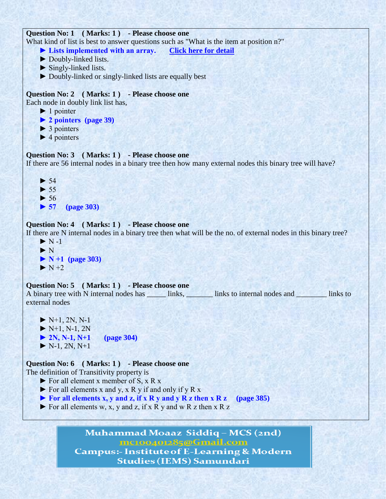# **Question No: 1 ( Marks: 1 ) - Please choose one**

What kind of list is best to answer questions such as "What is the item at position n?"

- **► Lists implemented with an array. [Click here for detail](http://www.cse.sc.edu/~mgv/csce146/mt2answer.htm)**
- ► Doubly-linked lists.
- $\blacktriangleright$  Singly-linked lists.
- ► Doubly-linked or singly-linked lists are equally best

# **Question No: 2 ( Marks: 1 ) - Please choose one**

Each node in doubly link list has,

- $\blacktriangleright$  1 pointer
- **► 2 pointers (page 39)**
- $\triangleright$  3 pointers
- $\blacktriangleright$  4 pointers

# **Question No: 3 ( Marks: 1 ) - Please choose one**

If there are 56 internal nodes in a binary tree then how many external nodes this binary tree will have?

 $\blacktriangleright$  $\blacktriangleright$  $\blacktriangleright$  **► 57 (page 303)**

# **Question No: 4 ( Marks: 1 ) - Please choose one**

If there are N internal nodes in a binary tree then what will be the no. of external nodes in this binary tree?

 $\blacktriangleright$  N -1 ► N **► N +1 (page 303)**  $\blacktriangleright$  N +2

### **Question No: 5 ( Marks: 1 ) - Please choose one**

A binary tree with N internal nodes has \_\_\_\_\_\_ links, \_\_\_\_\_\_\_\_ links to internal nodes and \_\_\_\_\_\_\_\_\_ links to external nodes

 $\blacktriangleright$  N+1, 2N, N-1  $\blacktriangleright$  N+1, N-1, 2N **► 2N, N-1, N+1 (page 304)**  $\blacktriangleright$  N-1, 2N, N+1

# **Question No: 6 ( Marks: 1 ) - Please choose one**

The definition of Transitivity property is

- $\triangleright$  For all element x member of S, x R x
- $\triangleright$  For all elements x and y, x R y if and only if y R x
- **► For all elements x, y and z, if x R y and y R z then x R z (page 385)**
- $\triangleright$  For all elements w, x, y and z, if x R y and w R z then x R z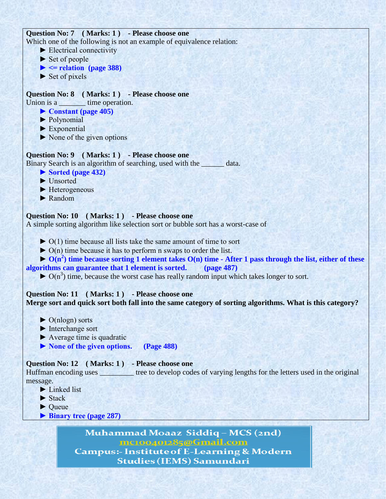# **Question No: 7 ( Marks: 1 ) - Please choose one**

Which one of the following is not an example of equivalence relation:

- ► Electrical connectivity
- ► Set of people
- $\blacktriangleright$   $\blacktriangleleft$  relation (page 388)
- $\blacktriangleright$  Set of pixels

# **Question No: 8 ( Marks: 1 ) - Please choose one**

Union is a \_\_\_\_\_\_\_\_ time operation.

- **► Constant (page 405)**
- ► Polynomial
- ► Exponential
- $\triangleright$  None of the given options

# **Question No: 9 ( Marks: 1 ) - Please choose one**

Binary Search is an algorithm of searching, used with the data.

- **► Sorted (page 432)**
- ► Unsorted
- ► Heterogeneous
- ► Random

# **Question No: 10 ( Marks: 1 ) - Please choose one**

A simple sorting algorithm like selection sort or bubble sort has a worst-case of

- $\triangleright$  O(1) time because all lists take the same amount of time to sort
- $\triangleright$  O(n) time because it has to perform n swaps to order the list.

# $\rightarrow$  O(n<sup>2</sup>) time because sorting 1 element takes O(n) time - After 1 pass through the list, either of these **algorithms can guarantee that 1 element is sorted. (page 487)**

 $\triangleright$  O(n<sup>3</sup>) time, because the worst case has really random input which takes longer to sort.

#### **Question No: 11 ( Marks: 1 ) - Please choose one Merge sort and quick sort both fall into the same category of sorting algorithms. What is this category?**

- $\triangleright$  O(nlogn) sorts
- ► Interchange sort
- $\blacktriangleright$  Average time is quadratic
- **► None of the given options. (Page 488)**

# **Question No: 12 ( Marks: 1 ) - Please choose one**

Huffman encoding uses \_\_\_\_\_\_\_\_\_ tree to develop codes of varying lengths for the letters used in the original message.

- ► Linked list
- $\blacktriangleright$  Stack
- ► Queue
- **► Binary tree (page 287)**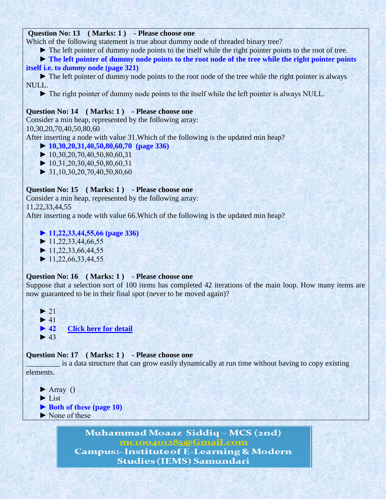# **Question No: 13 ( Marks: 1 ) - Please choose one**

Which of the following statement is true about dummy node of threaded binary tree?

► The left pointer of dummy node points to the itself while the right pointer points to the root of tree.

► The left pointer of dummy node points to the root node of the tree while the right pointer points **itself i.e. to** *dummy* **node (page 321)**

 ► The left pointer of dummy node points to the root node of the tree while the right pointer is always NULL.

► The right pointer of dummy node points to the itself while the left pointer is always NULL.

#### **Question No: 14 ( Marks: 1 ) - Please choose one**

Consider a min heap, represented by the following array: 10,30,20,70,40,50,80,60

After inserting a node with value 31.Which of the following is the updated min heap?

- **► 10,30,20,31,40,50,80,60,70 (page 336)**
- $\blacktriangleright$  10,30,20,70,40,50,80,60,31
- $\blacktriangleright$  10,31,20,30,40,50,80,60,31
- $\blacktriangleright$  31,10,30,20,70,40,50,80,60

# **Question No: 15 ( Marks: 1 ) - Please choose one**

Consider a min heap, represented by the following array:

11,22,33,44,55

After inserting a node with value 66.Which of the following is the updated min heap?

# **► 11,22,33,44,55,66 (page 336)**

 $\blacktriangleright$  11,22,33,44,66,55

 $\blacktriangleright$  11,22,33,66,44,55

 $\blacktriangleright$  11,22,66,33,44,55

#### **Question No: 16 ( Marks: 1 ) - Please choose one**

Suppose that a selection sort of 100 items has completed 42 iterations of the main loop. How many items are now guaranteed to be in their final spot (never to be moved again)?

 $\blacktriangleright$  $\blacktriangleright$ **► 42** [Click here for detail](http://techbycaltech.com/servlet/listthread?forumid=1&postid=23)  $\blacktriangleright$ 

#### **Question No: 17 ( Marks: 1 ) - Please choose one**

\_\_\_\_\_\_\_\_\_ is a data structure that can grow easily dynamically at run time without having to copy existing elements.

 $\blacktriangleright$  Array () ► List **► Both of these (page 10)** ▶ None of these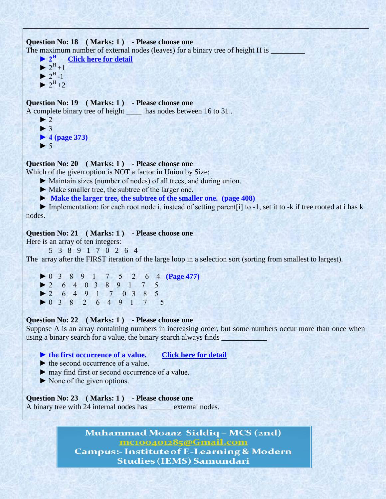```
Question No: 18 ( Marks: 1 ) - Please choose one
The maximum number of external nodes (leaves) for a binary tree of height H is \rightarrow 2<sup>H</sup> Click here for detail
                  Click here for detail</u>
      \blacktriangleright 2<sup>H</sup> +1
\triangleright 2<sup>H</sup>-1
      \blacktriangleright 2<sup>H</sup> + 2
Question No: 19 ( Marks: 1 ) - Please choose one
A complete binary tree of height ____ has nodes between 16 to 31 .
      \blacktriangleright 2
      \blacktriangleright 3
       ► 4 (page 373)
      \blacktriangleright 5
Question No: 20 ( Marks: 1 ) - Please choose one
```
Which of the given option is NOT a factor in Union by Size:

- ► Maintain sizes (number of nodes) of all trees, and during union.
- ► Make smaller tree, the subtree of the larger one.
- **► Make the larger tree, the subtree of the smaller one. (page 408)**

 ► Implementation: for each root node i, instead of setting parent[i] to -1, set it to -k if tree rooted at i has k nodes.

#### **Question No: 21 ( Marks: 1 ) - Please choose one**

Here is an array of ten integers:

5 3 8 9 1 7 0 2 6 4

The array after the FIRST iteration of the large loop in a selection sort (sorting from smallest to largest).

 ► 0 3 8 9 1 7 5 2 6 4 **(Page 477)** ► 2 6 4 0 3 8 9 1 7 5 ► 2 6 4 9 1 7 0 3 8 5 ► 0 3 8 2 6 4 9 1 7 5

#### **Question No: 22 ( Marks: 1 ) - Please choose one**

Suppose A is an array containing numbers in increasing order, but some numbers occur more than once when using a binary search for a value, the binary search always finds \_\_\_\_\_\_\_\_\_\_\_\_

#### **► the first occurrence of a value. [Click here for detail](http://msdn.microsoft.com/en-us/library/7eddebat.aspx)**

- $\blacktriangleright$  the second occurrence of a value.
- ► may find first or second occurrence of a value.
- ► None of the given options.

# **Question No: 23 ( Marks: 1 ) - Please choose one**

A binary tree with 24 internal nodes has \_\_\_\_\_\_ external nodes.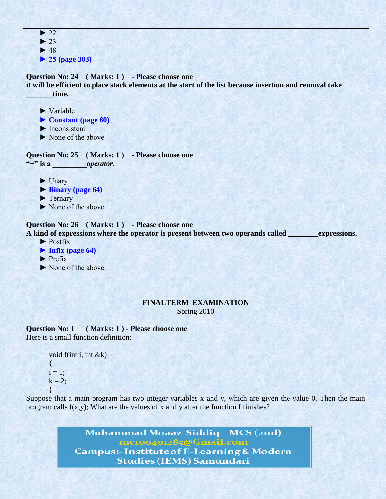

#### **FINALTERM EXAMINATION**  Spring 2010

**Question No: 1 ( Marks: 1 ) - Please choose one** Here is a small function definition:

```
void f(int i, int \& k){
i = 1:
k = 2:
}
```
Suppose that a main program has two integer variables x and y, which are given the value 0. Then the main program calls  $f(x,y)$ ; What are the values of x and y after the function f finishes?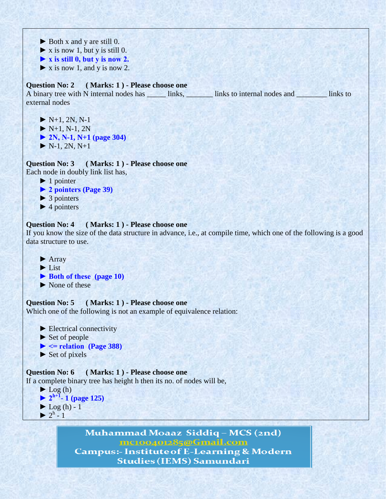- ► Both x and y are still 0.
- $\triangleright$  **x** is now 1, but y is still 0.
- **► x is still 0, but y is now 2.**
- **►** x is now 1, and y is now 2.

# **Question No: 2 ( Marks: 1 ) - Please choose one**

A binary tree with N internal nodes has \_\_\_\_\_\_ links, \_\_\_\_\_\_\_ links to internal nodes and \_\_\_\_\_\_\_ links to external nodes

- $\blacktriangleright$  N+1, 2N, N-1  $\blacktriangleright$  N+1, N-1, 2N
- **► 2N, N-1, N+1 (page 304)**
- $\blacktriangleright$  N-1, 2N, N+1
- **Question No: 3 ( Marks: 1 ) - Please choose one**

Each node in doubly link list has,

- ▶ 1 pointer
- **► 2 pointers (Page 39)**
- **►** 3 pointers
- **►** 4 pointers

# **Question No: 4 ( Marks: 1 ) - Please choose one**

If you know the size of the data structure in advance, i.e., at compile time, which one of the following is a good data structure to use.

- **►** Array
- **►** List
- **► Both of these (page 10)**
- **►** None of these

**Question No: 5 ( Marks: 1 ) - Please choose one** Which one of the following is not an example of equivalence relation:

 **►** Electrical connectivity ▶ Set of people  $\blacktriangleright$   $\blacktriangleleft$  relation (Page 388)  **►** Set of pixels

#### **Question No: 6 ( Marks: 1 ) - Please choose one** If a complete binary tree has height h then its no. of nodes will be,

```
\blacktriangleright Log (h)
\blacktriangleright 2^{h+1} 1 (page 125)
         \blacktriangleright Log (h) - 1
\triangleright 2<sup>h</sup> - 1
```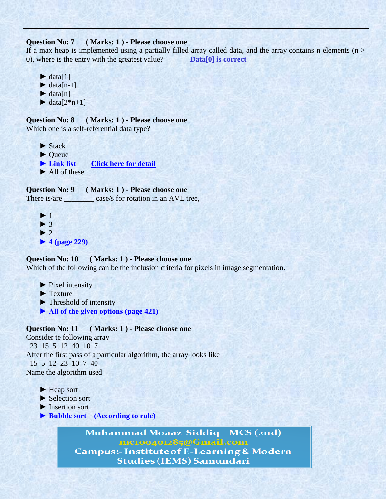### **Question No: 7 ( Marks: 1 ) - Please choose one**

If a max heap is implemented using a partially filled array called data, and the array contains n elements ( $n >$ 0), where is the entry with the greatest value? **Data[0] is correct** 

- $\blacktriangleright$  data[1]
- $\blacktriangleright$  data[n-1]
- $\blacktriangleright$  data[n]
- $\blacktriangleright$  data[ $2^*n+1$ ]

**Question No: 8 ( Marks: 1 ) - Please choose one** Which one is a self-referential data type?

- ▶ Stack
- ▶ **Oueue**
- **► Link list [Click here for detail](http://randu.org/tutorials/c/ads.php)**
- ▶ All of these

**Question No: 9 ( Marks: 1 ) - Please choose one** There is/are \_\_\_\_\_\_\_\_\_ case/s for rotation in an AVL tree,

 **►** 1  $\blacktriangleright$  3  $\blacktriangleright$  2  **► 4 (page 229)**

### **Question No: 10 ( Marks: 1 ) - Please choose one**

Which of the following can be the inclusion criteria for pixels in image segmentation.

- ▶ Pixel intensity
- ▶ Texture
- **►** Threshold of intensity
- **► All of the given options (page 421)**

**Question No: 11 ( Marks: 1 ) - Please choose one**

Consider te following array 23 15 5 12 40 10 7 After the first pass of a particular algorithm, the array looks like 15 5 12 23 10 7 40 Name the algorithm used

- ▶ **Heap** sort
- ▶ Selection sort
- ▶ Insertion sort
- **► Bubble sort (According to rule)**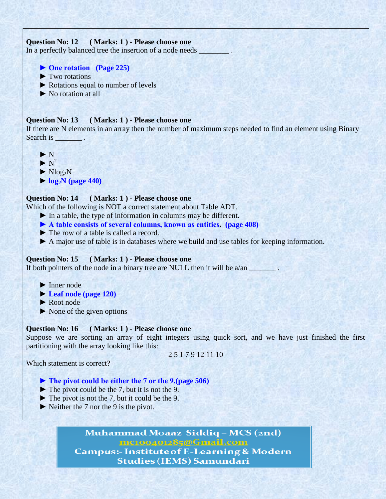# **Question No: 12 ( Marks: 1 ) - Please choose one**

In a perfectly balanced tree the insertion of a node needs \_\_\_\_\_\_\_\_

- **► One rotation (Page 225)**
- ▶ Two rotations
- ▶ Rotations equal to number of levels
- ► No rotation at all

#### **Question No: 13 ( Marks: 1 ) - Please choose one**

If there are N elements in an array then the number of maximum steps needed to find an element using Binary Search is

- **►** N
- $\blacktriangleright$  N<sup>2</sup>
	- $\blacktriangleright$  Nlog<sub>2</sub>N
	- **► log2N (page 440)**

#### **Question No: 14 ( Marks: 1 ) - Please choose one**

Which of the following is NOT a correct statement about Table ADT.

- **►** In a table, the type of information in columns may be different.
- **► A table consists of several columns, known as entities. (page 408)**
- **►** The row of a table is called a record.
- ▶ A major use of table is in databases where we build and use tables for keeping information.

### **Question No: 15 ( Marks: 1 ) - Please choose one**

If both pointers of the node in a binary tree are NULL then it will be  $a/an$ 

- ▶ Inner node
- **► Leaf node (page 120)**
- ▶ Root node
- **►** None of the given options

### **Question No: 16 ( Marks: 1 ) - Please choose one**

Suppose we are sorting an array of eight integers using quick sort, and we have just finished the first partitioning with the array looking like this:

Which statement is correct?

2 5 1 7 9 12 11 10

- **► The pivot could be either the 7 or the 9.(page 506)**
- **►** The pivot could be the 7, but it is not the 9.
- ► The pivot is not the 7, but it could be the 9.
- ► Neither the 7 nor the 9 is the pivot.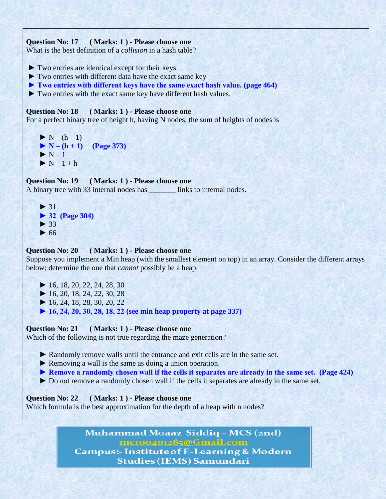# **Question No: 17 ( Marks: 1 ) - Please choose one**

What is the best definition of a *collision* in a hash table?

- **►** Two entries are identical except for their keys.
- **►** Two entries with different data have the exact same key
- **► Two entries with different keys have the same exact hash value. (page 464)**
- **►** Two entries with the exact same key have different hash values.

#### **Question No: 18 ( Marks: 1 ) - Please choose one**

For a perfect binary tree of height h, having N nodes, the sum of heights of nodes is

 **►** N – (h – 1)  **► N – (h + 1) (Page 373) ►** N – 1  **►** N – 1 + h

#### **Question No: 19 ( Marks: 1 ) - Please choose one**

A binary tree with 33 internal nodes has \_\_\_\_\_\_\_ links to internal nodes.



#### **Question No: 20 ( Marks: 1 ) - Please choose one**

Suppose you implement a Min heap (with the smallest element on top) in an array. Consider the different arrays below; determine the one that *cannot* possibly be a heap:

- **►** 16, 18, 20, 22, 24, 28, 30
- **►** 16, 20, 18, 24, 22, 30, 28
- **►** 16, 24, 18, 28, 30, 20, 22
- **► 16, 24, 20, 30, 28, 18, 22 (see min heap property at page 337)**

**Question No: 21 ( Marks: 1 ) - Please choose one** Which of the following is not true regarding the maze generation?

- ▶ Randomly remove walls until the entrance and exit cells are in the same set.
- ▶ Removing a wall is the same as doing a union operation.
- ► Remove a randomly chosen wall if the cells it separates are already in the same set. (Page 424)
- ► Do not remove a randomly chosen wall if the cells it separates are already in the same set.

**Question No: 22 ( Marks: 1 ) - Please choose one**

Which formula is the best approximation for the depth of a heap with n nodes?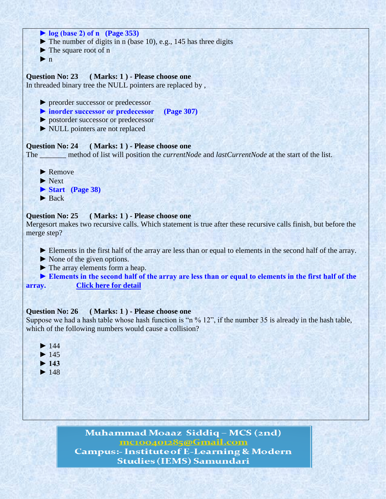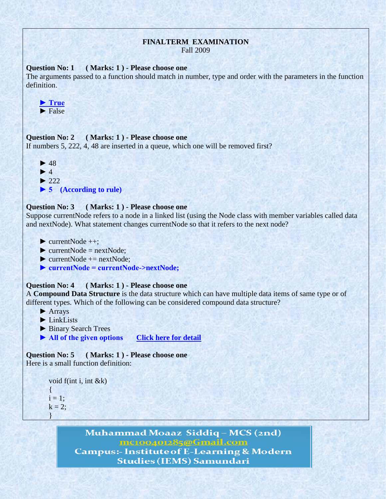# **FINALTERM EXAMINATION**

Fall 2009

#### **Question No: 1 ( Marks: 1 ) - Please choose one**

The arguments passed to a function should match in number, type and order with the parameters in the function definition.



#### **Question No: 2 ( Marks: 1 ) - Please choose one**

If numbers 5, 222, 4, 48 are inserted in a queue, which one will be removed first?



### **Question No: 3 ( Marks: 1 ) - Please choose one**

Suppose currentNode refers to a node in a linked list (using the Node class with member variables called data and nextNode). What statement changes currentNode so that it refers to the next node?

- $\blacktriangleright$  currentNode  $++$ ;
- $\triangleright$  currentNode = nextNode:
- $\blacktriangleright$  currentNode  $+=$  nextNode;
- **► currentNode = currentNode->nextNode;**

#### **Question No: 4 ( Marks: 1 ) - Please choose one**

A **Compound Data Structure** is the data structure which can have multiple data items of same type or of different types. Which of the following can be considered compound data structure?

- ▶ **Arrays**
- $\blacktriangleright$  LinkLists
- **►** Binary Search Trees
- ▶ All of the given options **[Click here for detail](http://www.lonelycactus.com/guilebook/charrays.html)**

**Question No: 5 ( Marks: 1 ) - Please choose one** Here is a small function definition:

```
void f(int i, int &k)
\{i = 1;
k = 2;
}
```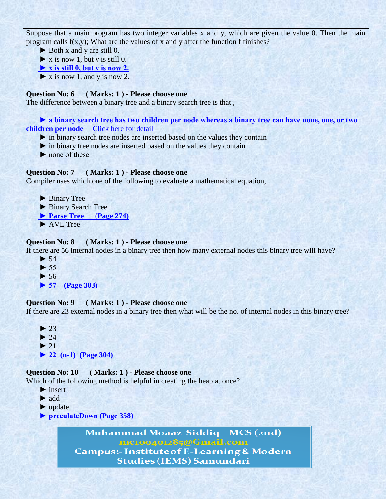Suppose that a main program has two integer variables x and y, which are given the value 0. Then the main program calls  $f(x,y)$ ; What are the values of x and y after the function f finishes?

► Both x and y are still 0.

 $\triangleright$  **x** is now 1, but y is still 0.

 **► x is still 0, but y is now 2.**

 $\blacktriangleright$  **x** is now 1, and y is now 2.

# **Question No: 6 ( Marks: 1 ) - Please choose one**

The difference between a binary tree and a binary search tree is that ,

# ► a binary search tree has two children per node whereas a binary tree can have none, one, or two **children per node** [Click here for](http://pirate.shu.edu/~wachsmut/Teaching/CSAS1112/Examps-CPP/Exam2/index.html) detail

 **►** in binary search tree nodes are inserted based on the values they contain

 **►** in binary tree nodes are inserted based on the values they contain

► none of these

### **Question No: 7 ( Marks: 1 ) - Please choose one**

Compiler uses which one of the following to evaluate a mathematical equation,

- ▶ Binary Tree
- ▶ Binary Search Tree
- ▶ Parse Tree (Page 274)
- **►** AVL Tree

### **Question No: 8 ( Marks: 1 ) - Please choose one**

If there are 56 internal nodes in a binary tree then how many external nodes this binary tree will have?

- $\blacktriangleright$  54
- $\blacktriangleright$  55
- **►** 56

```
 ► 57 (Page 303)
```
### **Question No: 9 ( Marks: 1 ) - Please choose one**

If there are 23 external nodes in a binary tree then what will be the no. of internal nodes in this binary tree?

 $\blacktriangleright$  23  $\blacktriangleright$  24  $\blacktriangleright$  21

 **► 22 (n-1) (Page 304)**

```
Question No: 10 ( Marks: 1 ) - Please choose one
```
Which of the following method is helpful in creating the heap at once?

- **►** insert
- **►** add
- **►** update
- **► preculateDown (Page 358)**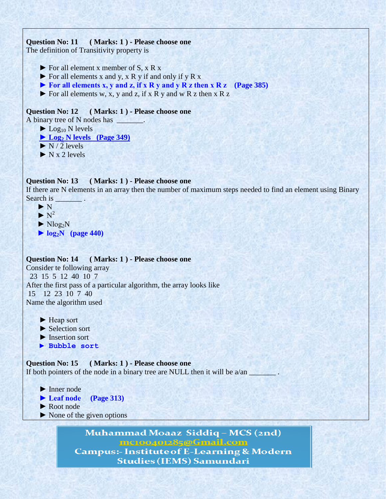# **Question No: 11 ( Marks: 1 ) - Please choose one**

The definition of Transitivity property is

- **►** For all element x member of S, x R x
- **►** For all elements x and y, x R y if and only if y R x
- **► For all elements x, y and z, if x R y and y R z then x R z (Page 385)**
- **►** For all elements w, x, y and z, if x R y and w R z then x R z

# **Question No: 12 ( Marks: 1 ) - Please choose one**

A binary tree of N nodes has \_\_\_\_\_\_\_.

- $\blacktriangleright$  Log<sub>10</sub> N levels
- **► Log<sup>2</sup> N levels (Page 349)**
- $\blacktriangleright$  N/2 levels
- $\blacktriangleright$  N x 2 levels

### **Question No: 13 ( Marks: 1 ) - Please choose one**

If there are N elements in an array then the number of maximum steps needed to find an element using Binary Search is

- ► N
- $\blacktriangleright N^2$
- $\blacktriangleright$  Nlog<sub>2</sub>N
- **► log2N (page 440)**

### **Question No: 14 ( Marks: 1 ) - Please choose one**

Consider te following array 23 15 5 12 40 10 7 After the first pass of a particular algorithm, the array looks like 15 12 23 10 7 40 Name the algorithm used

- ► Heap sort
- ▶ Selection sort
- ▶ Insertion sort
- ▶ Bubble sort

**Question No: 15 ( Marks: 1 ) - Please choose one** If both pointers of the node in a binary tree are NULL then it will be  $a/an$ 

- ▶ Inner node
- **► Leaf node (Page 313)**
- ▶ Root node
- ► None of the given options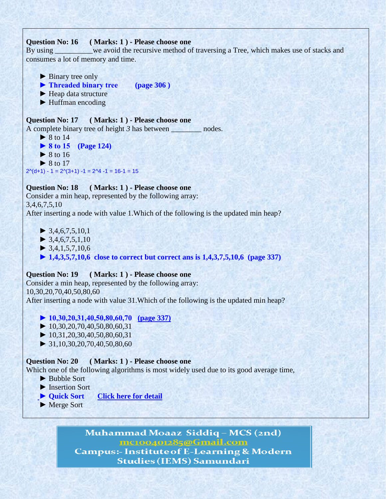# **Question No: 16 ( Marks: 1 ) - Please choose one**

By using \_\_\_\_\_\_\_\_we avoid the recursive method of traversing a Tree, which makes use of stacks and consumes a lot of memory and time.

- ► Binary tree only
- **► Threaded binary tree (page 306 )**
- ▶ **Heap data structure**
- ► Huffman encoding

#### **Question No: 17 ( Marks: 1 ) - Please choose one** A complete binary tree of height 3 has between \_\_\_\_\_\_\_\_ nodes.

■ 8 to 14  **► 8 to 15 (Page 124)** ■ 8 to 16  **►** 8 to 17  $2^{(d+1)} - 1 = 2^{(3+1)} - 1 = 2^{4} - 1 = 16 - 1 = 15$ 

# **Question No: 18 ( Marks: 1 ) - Please choose one**

Consider a min heap, represented by the following array: 3,4,6,7,5,10 After inserting a node with value 1.Which of the following is the updated min heap?

- **►** 3,4,6,7,5,10,1
- $\blacktriangleright$  3,4,6,7,5,1,10
- $\blacktriangleright$  3,4,1,5,7,10,6
- **► 1,4,3,5,7,10,6 close to correct but correct ans is 1,4,3,7,5,10,6 (page 337)**

# **Question No: 19 ( Marks: 1 ) - Please choose one**

Consider a min heap, represented by the following array: 10,30,20,70,40,50,80,60 After inserting a node with value 31.Which of the following is the updated min heap?

- **► 10,30,20,31,40,50,80,60,70 (page 337)**
- **►** 10,30,20,70,40,50,80,60,31
- **►** 10,31,20,30,40,50,80,60,31
- **►** 31,10,30,20,70,40,50,80,60

# **Question No: 20 ( Marks: 1 ) - Please choose one**

Which one of the following algorithms is most widely used due to its good average time,

- ▶ Bubble Sort
- **►** Insertion Sort
- **► Quick Sort [Click here for detail](http://en.wikipedia.org/wiki/Sorting_algorithm)**
- **►** Merge Sort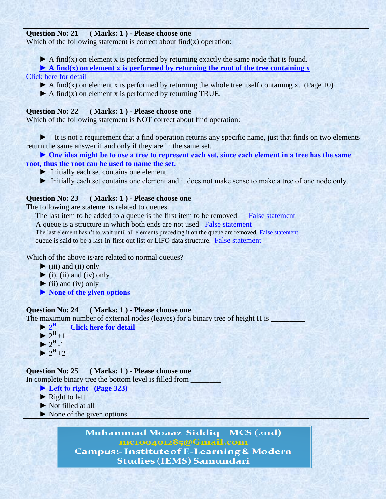# **Question No: 21 ( Marks: 1 ) - Please choose one**

Which of the following statement is correct about  $find(x)$  operation:

 **►** A find(x) on element x is performed by returning exactly the same node that is found.

 **► A find(x) on element x is performed by returning the root of the tree containing x**.

- [Click here for detail](http://books.google.com.pk/books?id=JiC7mIqg-X4C&pg=PA23&lpg=PA23&dq=A+find(x)+on+element+x+is+performed+by+returning+the+root+of+the+tree+containing+x&source=bl&ots=8gkhlm2vS_&sig=T7DMu40JmdXPibFLTm4wKteI7Lc&hl=en&sa=X&ei=PdMVT5rZMOWA4gTD-dT6Aw&ved=0CCMQ)
	- $\blacktriangleright$  A find(x) on element x is performed by returning the whole tree itself containing x. (Page 10)
	- **►** A find(x) on element x is performed by returning TRUE.

# **Question No: 22 ( Marks: 1 ) - Please choose one**

Which of the following statement is NOT correct about find operation:

 **►** It is not a requirement that a find operation returns any specific name, just that finds on two elements return the same answer if and only if they are in the same set.

# ► One idea might be to use a tree to represent each set, since each element in a tree has the same **root, thus the root can be used to name the set.**

- ► Initially each set contains one element.
- ► Initially each set contains one element and it does not make sense to make a tree of one node only.

# **Question No: 23 ( Marks: 1 ) - Please choose one**

The following are statements related to queues.

The last item to be added to a queue is the first item to be removed False statement A queue is a structure in which both ends are not used False statement

The last element hasn't to wait until all elements preceding it on the queue are removed False statement

A queue is said to be a last-in-first-out list or LIFO data structure. False statement

Which of the above is/are related to normal queues?

 **►** (iii) and (ii) only

 $\blacktriangleright$  (i), (ii) and (iv) only

- $\blacktriangleright$  (ii) and (iv) only
- **► None of the given options**

# **Question No: 24 ( Marks: 1 ) - Please choose one**

The maximum number of external nodes (leaves) for a binary tree of height H is  $\Box$ 

- $\blacktriangleright$  2<sup>H</sup>  **[Click here for detail](http://www.cs.cmu.edu/~clo/www/CMU/DataStructures/Questions/reviewQuestion4_1.htm)**
- $\triangleright$  2<sup>H</sup> +1
- $\triangleright$  2<sup>H</sup>-1
- $\triangleright$  2<sup>H</sup> +2

**Question No: 25 ( Marks: 1 ) - Please choose one** In complete binary tree the bottom level is filled from

- **► Left to right (Page 323)**
- **► Right to left**
- ▶ Not filled at all
- ► None of the given options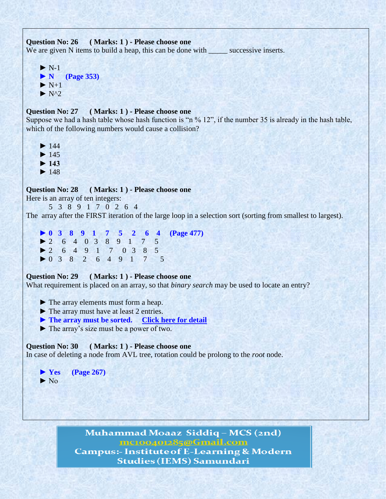# **Question No: 26 ( Marks: 1 ) - Please choose one** We are given N items to build a heap, this can be done with successive inserts.

 $\blacktriangleright$  N-1  **► N (Page 353)**  $\blacktriangleright$  N+1  $\blacktriangleright$  N^2

#### **Question No: 27 ( Marks: 1 ) - Please choose one**

Suppose we had a hash table whose hash function is "n % 12", if the number 35 is already in the hash table, which of the following numbers would cause a collision?

- $\blacktriangleright$  144
- **►** 145
- **► 143**
- **►** 148

**Question No: 28 ( Marks: 1 ) - Please choose one**

Here is an array of ten integers:

5 3 8 9 1 7 0 2 6 4

The array after the FIRST iteration of the large loop in a selection sort (sorting from smallest to largest).

 **► 0 3 8 9 1 7 5 2 6 4 (Page 477) ►** 2 6 4 0 3 8 9 1 7 5  **►** 2 6 4 9 1 7 0 3 8 5  **►** 0 3 8 2 6 4 9 1 7 5

### **Question No: 29 ( Marks: 1 ) - Please choose one**

What requirement is placed on an array, so that *binary search* may be used to locate an entry?

- ▶ The array elements must form a heap.
- ▶ The array must have at least 2 entries.
- ▶ The array must be sorted. [Click here for detail](http://techinfogurus.com/modules/quiz/quiz.php?cat=3&lvl=0)
- **►** The array"s size must be a power of two.

# **Question No: 30 ( Marks: 1 ) - Please choose one**

In case of deleting a node from AVL tree, rotation could be prolong to the *root* node.

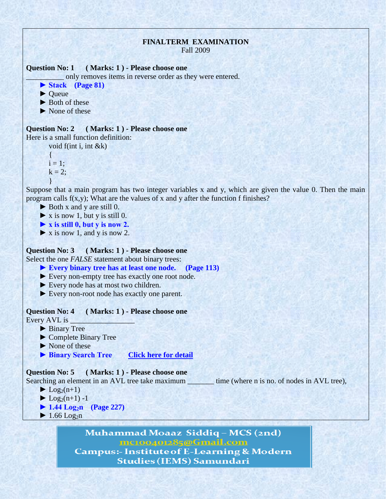# **FINALTERM EXAMINATION**

Fall 2009

#### **Question No: 1 ( Marks: 1 ) - Please choose one**

only removes items in reverse order as they were entered.

 **► Stack (Page 81)**

- ▶ Queue
- ▶ Both of these
- ▶ None of these

# **Question No: 2 ( Marks: 1 ) - Please choose one** Here is a small function definition:

void f(int i, int &k)

{  $i = 1$ ;  $k = 2$ ; }

Suppose that a main program has two integer variables x and y, which are given the value 0. Then the main program calls f(x,y); What are the values of x and y after the function f finishes?

- ► Both x and y are still 0.
- $\triangleright$  **x** is now 1, but y is still 0.
- **► x is still 0, but y is now 2.**
- **►** x is now 1, and y is now 2.

# **Question No: 3 ( Marks: 1 ) - Please choose one**

Select the one *FALSE* statement about binary trees:

- **► Every binary tree has at least one node. (Page 113)**
- ► Every non-empty tree has exactly one root node.
- ► Every node has at most two children.
- ► Every non-root node has exactly one parent.

#### **Question No: 4 ( Marks: 1 ) - Please choose one**

Every AVL is \_

- ▶ Binary Tree
- **►** Complete Binary Tree
- **►** None of these
- ▶ Binary Search Tree *[Click here for detail](http://en.wikipedia.org/wiki/AVL_tree)*

# **Question No: 5 ( Marks: 1 ) - Please choose one**

 $\blacktriangleright$  Log<sub>2</sub>(n+1)

- $\blacktriangleright$  Log<sub>2</sub>(n+1) -1
- **► 1.44 Log2n (Page 227)**
- $\blacktriangleright$  1.66 Log<sub>2</sub>n

Muhammad Moaaz Siddiq - MCS (2nd) mc100401285@Gmail.com **Campus:- Institute of E-Learning & Modern Studies (IEMS) Samundari** 

Searching an element in an AVL tree take maximum \_\_\_\_\_\_\_\_ time (where n is no. of nodes in AVL tree),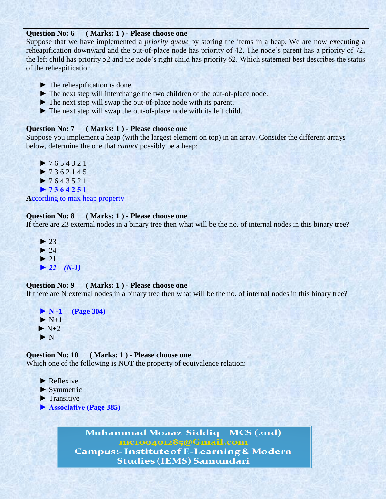# **Question No: 6 ( Marks: 1 ) - Please choose one**

Suppose that we have implemented a *priority queue* by storing the items in a heap. We are now executing a reheapification downward and the out-of-place node has priority of 42. The node"s parent has a priority of 72, the left child has priority 52 and the node"s right child has priority 62. Which statement best describes the status of the reheapification.

- ► The reheapification is done.
- **► The next step will interchange the two children of the out-of-place node.**
- **►** The next step will swap the out-of-place node with its parent.
- ► The next step will swap the out-of-place node with its left child.

# **Question No: 7 ( Marks: 1 ) - Please choose one**

Suppose you implement a heap (with the largest element on top) in an array. Consider the different arrays below, determine the one that *cannot* possibly be a heap:



**A**ccording to max heap property

#### **Question No: 8 ( Marks: 1 ) - Please choose one**

If there are 23 external nodes in a binary tree then what will be the no. of internal nodes in this binary tree?

 $\blacktriangleright$  $\blacktriangleright$  $\blacktriangleright$  $\triangleright$  22 (*N-1*)

#### **Question No: 9 ( Marks: 1 ) - Please choose one**

If there are N external nodes in a binary tree then what will be the no. of internal nodes in this binary tree?

 **► N -1 (Page 304)**  $\blacktriangleright$  N+1  $\blacktriangleright$  N+2  **►** N

#### **Question No: 10 ( Marks: 1 ) - Please choose one**

Which one of the following is NOT the property of equivalence relation:

- ▶ Reflexive
- **►** Symmetric
- ▶ Transitive
- **► Associative (Page 385)**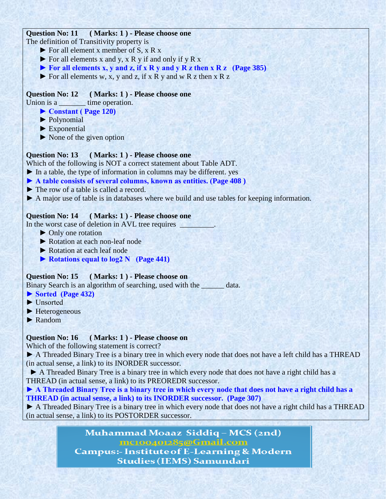# **Question No: 11 ( Marks: 1 ) - Please choose one**

The definition of Transitivity property is

- **►** For all element x member of S, x R x
- **►** For all elements x and y, x R y if and only if y R x
- **► For all elements x, y and z, if x R y and y R z then x R z (Page 385)**
- **►** For all elements w, x, y and z, if x R y and w R z then x R z

# **Question No: 12 ( Marks: 1 ) - Please choose one**

Union is a time operation.

- **► Constant ( Page 120)**
- ▶ Polynomial
- ▶ Exponential
- ► None of the given option

# **Question No: 13 ( Marks: 1 ) - Please choose one**

Which of the following is NOT a correct statement about Table ADT.

- **►** In a table, the type of information in columns may be different. yes
- **► A table consists of several columns, known as entities. (Page 408 )**
- **►** The row of a table is called a record.
- ▶ A major use of table is in databases where we build and use tables for keeping information.

# **Question No: 14 ( Marks: 1 ) - Please choose one**

In the worst case of deletion in AVL tree requires \_\_\_\_\_\_\_\_\_\_\_\_\_\_\_\_\_\_\_\_\_\_\_\_\_\_\_\_\_\_

- ▶ Only one rotation
- ► Rotation at each non-leaf node
- ► Rotation at each leaf node
- **► Rotations equal to log2 N (Page 441)**

# **Question No: 15 ( Marks: 1 ) - Please choose on**

Binary Search is an algorithm of searching, used with the \_\_\_\_\_\_ data.

- **► Sorted (Page 432)**
- ► Unsorted
- **►** Heterogeneous
- **►** Random

# **Question No: 16 ( Marks: 1 ) - Please choose on**

Which of the following statement is correct?

**►** A Threaded Binary Tree is a binary tree in which every node that does not have a left child has a THREAD (in actual sense, a link) to its INORDER successor.

▶ A Threaded Binary Tree is a binary tree in which every node that does not have a right child has a THREAD (in actual sense, a link) to its PREOREDR successor.

► A Threaded Binary Tree is a binary tree in which every node that does not have a right child has a **THREAD (in actual sense, a link) to its INORDER successor. (Page 307)**

► A Threaded Binary Tree is a binary tree in which every node that does not have a right child has a THREAD (in actual sense, a link) to its POSTORDER successor.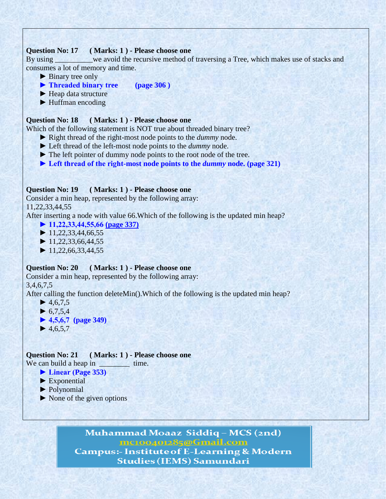### **Question No: 17 ( Marks: 1 ) - Please choose one**

By using we avoid the recursive method of traversing a Tree, which makes use of stacks and consumes a lot of memory and time.

- ▶ Binary tree only
- **► Threaded binary tree (page 306 )**
- ▶ **Heap data structure**
- ▶ Huffman encoding

#### **Question No: 18 ( Marks: 1 ) - Please choose one**

Which of the following statement is NOT true about threaded binary tree?

- **►** Right thread of the right-most node points to the *dummy* node.
- **►** Left thread of the left-most node points to the *dummy* node.
- **►** The left pointer of dummy node points to the root node of the tree.
- ► Left thread of the right-most node points to the *dummy* node. (page 321)

### **Question No: 19 ( Marks: 1 ) - Please choose one**

Consider a min heap, represented by the following array:

11,22,33,44,55

After inserting a node with value 66.Which of the following is the updated min heap?

- **► 11,22,33,44,55,66 (page 337)**
- **►** 11,22,33,44,66,55
- **►** 11,22,33,66,44,55
- **►** 11,22,66,33,44,55

#### **Question No: 20 ( Marks: 1 ) - Please choose one**

Consider a min heap, represented by the following array:

# 3,4,6,7,5

After calling the function deleteMin().Which of the following is the updated min heap?

- $\blacktriangleright$  4,6,7,5  $\blacktriangleright$  6,7,5,4  **► 4,5,6,7 (page 349)**
- $\blacktriangleright$  4,6,5,7

**Question No: 21 ( Marks: 1 ) - Please choose one** We can build a heap in \_\_\_\_\_\_\_\_\_\_ time.

 **► Linear (Page 353)**

- ▶ Exponential
- ▶ Polynomial
- **►** None of the given options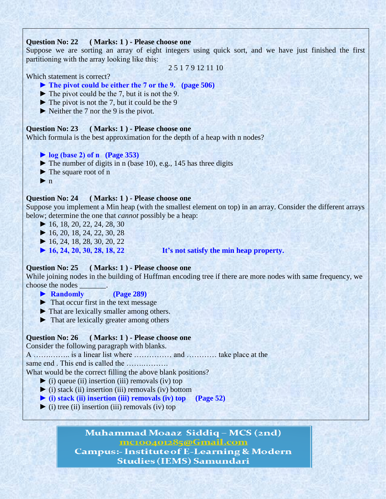# **Question No: 22 ( Marks: 1 ) - Please choose one**

Suppose we are sorting an array of eight integers using quick sort, and we have just finished the first partitioning with the array looking like this:

2 5 1 7 9 12 11 10

Which statement is correct?

# **► The pivot could be either the 7 or the 9. (page 506)**

- $\blacktriangleright$  The pivot could be the 7, but it is not the 9.
- ► The pivot is not the 7, but it could be the 9
- ▶ Neither the 7 nor the 9 is the pivot.

# **Question No: 23 ( Marks: 1 ) - Please choose one**

Which formula is the best approximation for the depth of a heap with n nodes?

- **► log (base 2) of n (Page 353)**
- **►** The number of digits in n (base 10), e.g., 145 has three digits
- **►** The square root of n
- $\blacktriangleright$  n

# **Question No: 24 ( Marks: 1 ) - Please choose one**

Suppose you implement a Min heap (with the smallest element on top) in an array. Consider the different arrays below; determine the one that *cannot* possibly be a heap:

- **►** 16, 18, 20, 22, 24, 28, 30
- **►** 16, 20, 18, 24, 22, 30, 28
- **►** 16, 24, 18, 28, 30, 20, 22
- 

# **► 16, 24, 20, 30, 28, 18, 22 It's not satisfy the min heap property.**

### **Question No: 25 ( Marks: 1 ) - Please choose one**

While joining nodes in the building of Huffman encoding tree if there are more nodes with same frequency, we choose the nodes \_\_\_\_\_\_\_.

- ▶ Randomly (Page 289)
- **►** That occur first in the text message
- ▶ That are lexically smaller among others.
- **►** That are lexically greater among others

### **Question No: 26 ( Marks: 1 ) - Please choose one**

Consider the following paragraph with blanks.

A …….…….. is a linear list where …………… and ………… take place at the

same end . This end is called the …….……….

What would be the correct filling the above blank positions?

- **►** (i) queue (ii) insertion (iii) removals (iv) top
- **►** (i) stack (ii) insertion (iii) removals (iv) bottom
- **► (i) stack (ii) insertion (iii) removals (iv) top (Page 52)**
- $\blacktriangleright$  (i) tree (ii) insertion (iii) removals (iv) top

# Muhammad Moaaz Siddiq - MCS (2nd) mc100401285@Gmail.com **Campus:- Institute of E-Learning & Modern**

**Studies (IEMS) Samundari**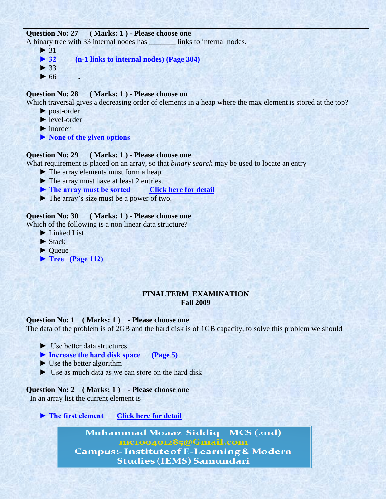#### **Question No: 27 ( Marks: 1 ) - Please choose one**

A binary tree with 33 internal nodes has links to internal nodes.

- ▶ 32 (n-1 links to internal nodes) (Page 304)
- **►** 33  **►** 66 *.*

 $\blacktriangleright$  31

# **Question No: 28 ( Marks: 1 ) - Please choose on**

Which traversal gives a decreasing order of elements in a heap where the max element is stored at the top?

- ▶ post-order
- ▶ level-order
- **►** inorder
- **► None of the given options**

#### **Question No: 29 ( Marks: 1 ) - Please choose one**

What requirement is placed on an array, so that *binary search* may be used to locate an entry

- ▶ The array elements must form a heap.
- **►** The array must have at least 2 entries.
- ▶ The array must be sorted [Click here for detail](http://techinfogurus.com/modules/quiz/quiz.php?cat=3&lvl=0)
- **►** The array"s size must be a power of two.

### **Question No: 30 ( Marks: 1 ) - Please choose one**

Which of the following is a non linear data structure?

- **►** Linked List
- ▶ Stack
- ▶ **Oueue**
- **► Tree (Page 112)**

### **FINALTERM EXAMINATION Fall 2009**

#### **Question No: 1 ( Marks: 1 ) - Please choose one**

The data of the problem is of 2GB and the hard disk is of 1GB capacity, to solve this problem we should

- $\blacktriangleright$  Use better data structures
- **► Increase the hard disk space (Page 5)**
- $\blacktriangleright$  Use the better algorithm
- $\blacktriangleright$  Use as much data as we can store on the hard disk

# **Question No: 2 ( Marks: 1 ) - Please choose one**

In an array list the current element is

▶ The first element [Click here for detail](http://php.net/manual/en/function.end.php)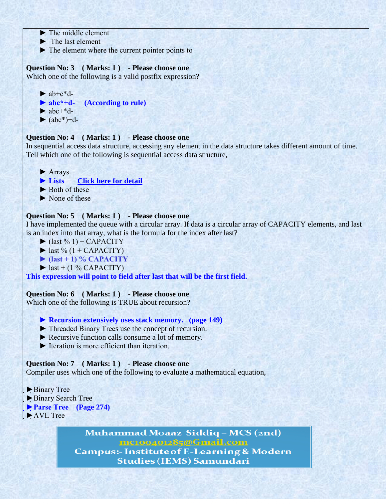- $\blacktriangleright$  The middle element
- $\blacktriangleright$  The last element
- ► The element where the current pointer points to

# **Question No: 3 ( Marks: 1 ) - Please choose one**

Which one of the following is a valid postfix expression?

 $\blacktriangleright$  ab+c\*d- **► abc\*+d- (According to rule)**  $\blacktriangleright$  abc+\*d- $\blacktriangleright$  (abc<sup>\*</sup>)+d-

# **Question No: 4 ( Marks: 1 ) - Please choose one**

In sequential access data structure, accessing any element in the data structure takes different amount of time. Tell which one of the following is sequential access data structure,

► Arrays

 **► Lists [Click here for detail](http://www.cs.cmu.edu/~adamchik/15-121/lectures/Stacks%20and%20Queues/Stacks%20and%20Queues.html)**

- ► Both of these
- ► None of these

# **Question No: 5 ( Marks: 1 ) - Please choose one**

I have implemented the queue with a circular array. If data is a circular array of CAPACITY elements, and last is an index into that array, what is the formula for the index after last?

- $\blacktriangleright$  (last % 1) + CAPACITY
- $\blacktriangleright$  last % (1 + CAPACITY)
- **► (last + 1) % CAPACITY**
- $\blacktriangleright$  last + (1 % CAPACITY)

**This expression will point to field after last that will be the first field.** 

# **Question No: 6 ( Marks: 1 ) - Please choose one**

Which one of the following is TRUE about recursion?

 **► Recursion extensively uses stack memory. (page 149)**

- ► Threaded Binary Trees use the concept of recursion.
- ► Recursive function calls consume a lot of memory.
- $\blacktriangleright$  Iteration is more efficient than iteration.

# **Question No: 7 ( Marks: 1 ) - Please choose one**

Compiler uses which one of the following to evaluate a mathematical equation,

► Binary Tree ►Binary Search Tree **►Parse Tree (Page 274)** ►AVL Tree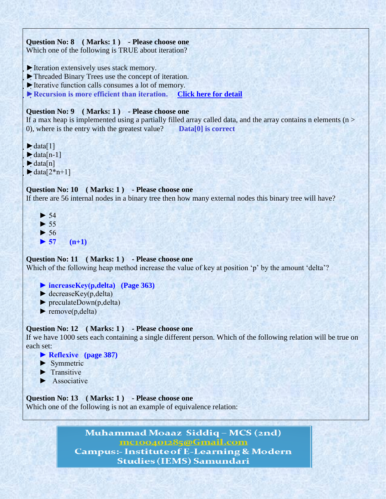



#### **Question No: 11 ( Marks: 1 ) - Please choose one**

Which of the following heap method increase the value of key at position 'p' by the amount 'delta'?

- **► increaseKey(p,delta) (Page 363)**
- $\blacktriangleright$  decreaseKey(p,delta)
- $\blacktriangleright$  preculateDown(p,delta)
- $\blacktriangleright$  remove(p,delta)

#### **Question No: 12 ( Marks: 1 ) - Please choose one**

If we have 1000 sets each containing a single different person. Which of the following relation will be true on each set:

- **► Reflexive (page 387)**
- ► Symmetric
- $\blacktriangleright$  Transitive
- $\blacktriangleright$  Associative

**Question No: 13 ( Marks: 1 ) - Please choose one** Which one of the following is not an example of equivalence relation: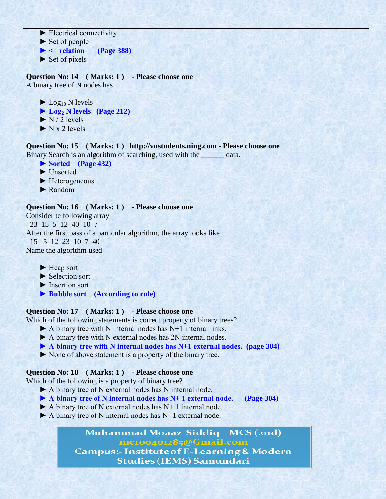$\blacktriangleright$  Electrical connectivity  $\blacktriangleright$  Set of people  $\blacktriangleright$   $\blacktriangleleft$  relation (Page 388)  $\blacktriangleright$  Set of pixels **Question No: 14 ( Marks: 1 ) - Please choose one** A binary tree of N nodes has \_\_\_\_\_\_\_.  $\blacktriangleright$  Log<sub>10</sub> N levels **► Log<sup>2</sup> N levels (Page 212)**  $\blacktriangleright$  N / 2 levels  $\triangleright$  N x 2 levels **Question No: 15 ( Marks: 1 ) http://vustudents.ning.com - Please choose one** Binary Search is an algorithm of searching, used with the \_\_\_\_\_\_ data. **► Sorted (Page 432)** ► Unsorted ► Heterogeneous ► Random **Question No: 16 ( Marks: 1 ) - Please choose one** Consider te following array 23 15 5 12 40 10 7 After the first pass of a particular algorithm, the array looks like 15 5 12 23 10 7 40 Name the algorithm used ► Heap sort ► Selection sort ► Insertion sort  **► Bubble sort (According to rule) Question No: 17 ( Marks: 1 ) - Please choose one** Which of the following statements is correct property of binary trees?  $\blacktriangleright$  A binary tree with N internal nodes has N+1 internal links. ▶ A binary tree with N external nodes has 2N internal nodes. **► A binary tree with N internal nodes has N+1 external nodes. (page 304)** ► None of above statement is a property of the binary tree. **Question No: 18 ( Marks: 1 ) - Please choose one** Which of the following is a property of binary tree? ► A binary tree of N external nodes has N internal node. **► A binary tree of N internal nodes has N+ 1 external node. (Page 304)**  $\blacktriangleright$  A binary tree of N external nodes has N+ 1 internal node.

▶ A binary tree of N internal nodes has N- 1 external node.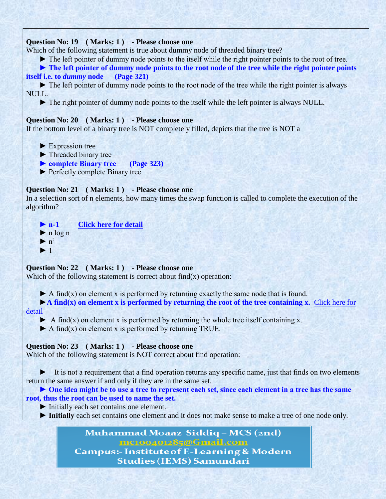# **Question No: 19 ( Marks: 1 ) - Please choose one**

Which of the following statement is true about dummy node of threaded binary tree?

► The left pointer of dummy node points to the itself while the right pointer points to the root of tree.

► The left pointer of dummy node points to the root node of the tree while the right pointer points **itself i.e. to** *dummy* **node (Page 321)**

 ► The left pointer of dummy node points to the root node of the tree while the right pointer is always NULL.

► The right pointer of dummy node points to the itself while the left pointer is always NULL.

### **Question No: 20 ( Marks: 1 ) - Please choose one**

If the bottom level of a binary tree is NOT completely filled, depicts that the tree is NOT a

- ► Expression tree
- ► Threaded binary tree
- **► complete Binary tree (Page 323)**
- ► Perfectly complete Binary tree

### **Question No: 21 ( Marks: 1 ) - Please choose one**

In a selection sort of n elements, how many times the swap function is called to complete the execution of the algorithm?

 **► n-1 [Click here for detail](http://discuss.itacumens.com/index.php?topic=7297.0)**  $\blacktriangleright$  n log n  $\blacktriangleright$  n<sup>2</sup> ► 1

### **Question No: 22 ( Marks: 1 ) - Please choose one**

Which of the following statement is correct about  $find(x)$  operation:

 $\blacktriangleright$  A find(x) on element x is performed by returning exactly the same node that is found.

 ►**A find(x) on element x is performed by returning the root of the tree containing x.** [Click here for](http://books.google.com.pk/books?id=JiC7mIqg-X4C&pg=PA23&lpg=PA23&dq=A+find(x)+on+element+x+is+performed+by+returning+the+root+of+the+tree+containing+x&source=bl&ots=8gkhlm2vS_&sig=T7DMu40JmdXPibFLTm4wKteI7Lc&hl=en&sa=X&ei=PdMVT5rZMOWA4gTD-dT6Aw&ved=0CCMQ)  [detail](http://books.google.com.pk/books?id=JiC7mIqg-X4C&pg=PA23&lpg=PA23&dq=A+find(x)+on+element+x+is+performed+by+returning+the+root+of+the+tree+containing+x&source=bl&ots=8gkhlm2vS_&sig=T7DMu40JmdXPibFLTm4wKteI7Lc&hl=en&sa=X&ei=PdMVT5rZMOWA4gTD-dT6Aw&ved=0CCMQ)

 $\blacktriangleright$  A find(x) on element x is performed by returning the whole tree itself containing x.

 $\blacktriangleright$  A find(x) on element x is performed by returning TRUE.

### **Question No: 23 ( Marks: 1 ) - Please choose one**

Which of the following statement is NOT correct about find operation:

 ► It is not a requirement that a find operation returns any specific name, just that finds on two elements return the same answer if and only if they are in the same set.

► One idea might be to use a tree to represent each set, since each element in a tree has the same **root, thus the root can be used to name the set.** 

- ► Initially each set contains one element.
- **► Initially** each set contains one element and it does not make sense to make a tree of one node only.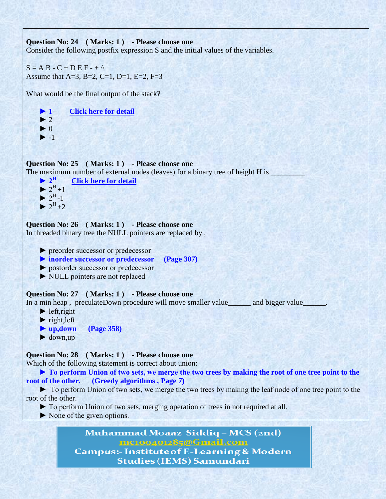

**Studies (IEMS) Samundari**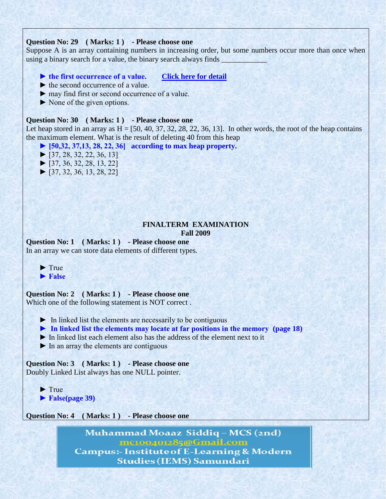#### **Question No: 29 ( Marks: 1 ) - Please choose one**

Suppose A is an array containing numbers in increasing order, but some numbers occur more than once when using a binary search for a value, the binary search always finds

# **► the first occurrence of a value. [Click here for detail](http://msdn.microsoft.com/en-us/library/7eddebat.aspx)**

- $\blacktriangleright$  the second occurrence of a value.
- ► may find first or second occurrence of a value.
- ► None of the given options.

#### **Question No: 30 ( Marks: 1 ) - Please choose one**

Let heap stored in an array as  $H = [50, 40, 37, 32, 28, 22, 36, 13]$ . In other words, the root of the heap contains the maximum element. What is the result of deleting 40 from this heap

**► [50,32, 37,13, 28, 22, 36] according to max heap property.**

- $\blacktriangleright$  [37, 28, 32, 22, 36, 13]
- $\blacktriangleright$  [37, 36, 32, 28, 13, 22]
- $\blacktriangleright$  [37, 32, 36, 13, 28, 22]

#### **FINALTERM EXAMINATION Fall 2009**

**Question No: 1 ( Marks: 1 ) - Please choose one** In an array we can store data elements of different types.

► True

 **► False**

#### **Question No: 2 ( Marks: 1 ) - Please choose one**

Which one of the following statement is NOT correct .

 $\triangleright$  In linked list the elements are necessarily to be contiguous

- **► In linked list the elements may locate at far positions in the memory (page 18)**
- ► In linked list each element also has the address of the element next to it
- $\blacktriangleright$  In an array the elements are contiguous

**Question No: 3 ( Marks: 1 ) - Please choose one** Doubly Linked List always has one NULL pointer.

 ► True  **► False(page 39)**

**Question No: 4 ( Marks: 1 ) - Please choose one**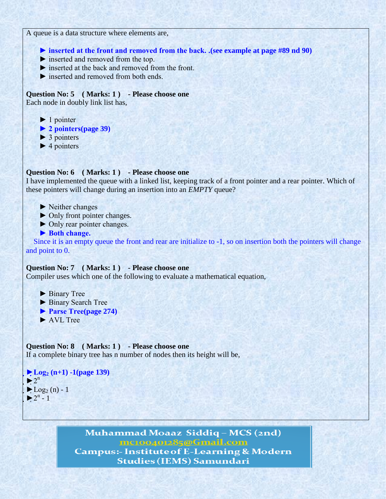A queue is a data structure where elements are,

 **► inserted at the front and removed from the back. .(see example at page #89 nd 90)**

- ► inserted and removed from the top.
- ► inserted at the back and removed from the front.
- ► inserted and removed from both ends.

**Question No: 5 ( Marks: 1 ) - Please choose one** Each node in doubly link list has,

- $\blacktriangleright$  1 pointer
- **► 2 pointers(page 39)**
- $\triangleright$  3 pointers
- $\blacktriangleright$  4 pointers

#### **Question No: 6 ( Marks: 1 ) - Please choose one**

I have implemented the queue with a linked list, keeping track of a front pointer and a rear pointer. Which of these pointers will change during an insertion into an *EMPTY* queue?

- ► Neither changes
- ► Only front pointer changes.
- ► Only rear pointer changes.
- ▶ Both change.

 Since it is an empty queue the front and rear are initialize to -1, so on insertion both the pointers will change and point to 0.

#### **Question No: 7 ( Marks: 1 ) - Please choose one**

Compiler uses which one of the following to evaluate a mathematical equation,

- ► Binary Tree
- ► Binary Search Tree
- **► Parse Tree(page 274)**
- ► AVL Tree

**Question No: 8 ( Marks: 1 ) - Please choose one** If a complete binary tree has n number of nodes then its height will be,

```
►Log2 (n+1) -1(page 139)
\blacktriangleright 2<sup>n</sup>
\blacktriangleright Log<sub>2</sub> (n) - 1
\blacktriangleright 2<sup>n</sup> - 1
```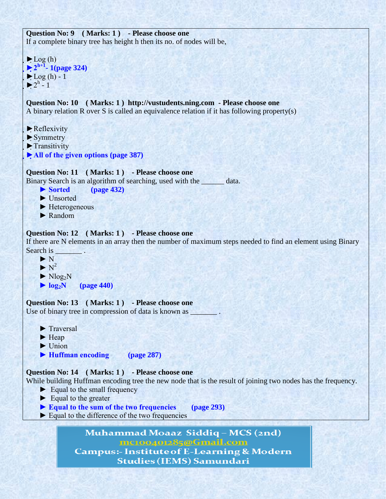```
Question No: 9 ( Marks: 1 ) - Please choose one
If a complete binary tree has height h then its no. of nodes will be,
```

```
\blacktriangleright Log (h)
►2h+1
- 1(page 324)
\blacktriangleright Log (h) - 1
\blacktriangleright 2<sup>h</sup> - 1
```
**Question No: 10 ( Marks: 1 ) http://vustudents.ning.com - Please choose one** A binary relation R over S is called an equivalence relation if it has following property(s)

- $\blacktriangleright$  Reflexivity
- $\blacktriangleright$  Symmetry
- ▶ Transitivity
- **►All of the given options (page 387)**

```
Question No: 11 ( Marks: 1 ) - Please choose one
Binary Search is an algorithm of searching, used with the ______ data.
```
**► Sorted (page 432)**

- ► Unsorted
- ► Heterogeneous
- ► Random

# **Question No: 12 ( Marks: 1 ) - Please choose one**

If there are N elements in an array then the number of maximum steps needed to find an element using Binary Search is

- ► N  $\blacktriangleright N^2$  $\blacktriangleright$  Nlog<sub>2</sub>N
- $\blacktriangleright$   $log_2N$  (page 440)

**Question No: 13 ( Marks: 1 ) - Please choose one** Use of binary tree in compression of data is known as  $\overline{\phantom{a}}$ 

- ► Traversal ► Heap ► Union
- **► Huffman encoding (page 287)**

### **Question No: 14 ( Marks: 1 ) - Please choose one**

While building Huffman encoding tree the new node that is the result of joining two nodes has the frequency.

- $\blacktriangleright$  Equal to the small frequency
- ► Equal to the greater
- **► Equal to the sum of the two frequencies (page 293)**
- ► Equal to the difference of the two frequencies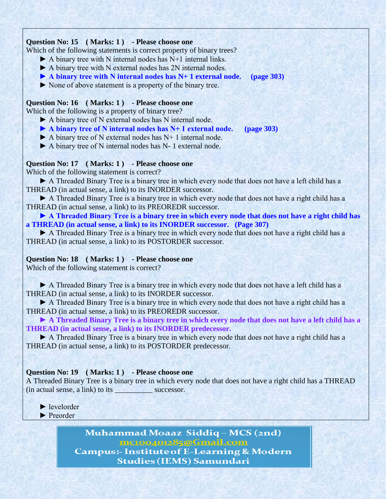# **Question No: 15 ( Marks: 1 ) - Please choose one**

Which of the following statements is correct property of binary trees?

- $\blacktriangleright$  A binary tree with N internal nodes has N+1 internal links.
- ▶ A binary tree with N external nodes has 2N internal nodes.
- **► A binary tree with N internal nodes has N+ 1 external node. (page 303)**
- ► None of above statement is a property of the binary tree.

# **Question No: 16 ( Marks: 1 ) - Please choose one**

Which of the following is a property of binary tree?

- ► A binary tree of N external nodes has N internal node.
- **► A binary tree of N internal nodes has N+ 1 external node. (page 303)**
- $\blacktriangleright$  A binary tree of N external nodes has N+ 1 internal node.

► A binary tree of N internal nodes has N- 1 external node.

# **Question No: 17 ( Marks: 1 ) - Please choose one**

Which of the following statement is correct?

▶ A Threaded Binary Tree is a binary tree in which every node that does not have a left child has a THREAD (in actual sense, a link) to its INORDER successor.

► A Threaded Binary Tree is a binary tree in which every node that does not have a right child has a THREAD (in actual sense, a link) to its PREOREDR successor.

► A Threaded Binary Tree is a binary tree in which every node that does not have a right child has **a THREAD (in actual sense, a link) to its INORDER successor. (Page 307)**

► A Threaded Binary Tree is a binary tree in which every node that does not have a right child has a THREAD (in actual sense, a link) to its POSTORDER successor.

# **Question No: 18 ( Marks: 1 ) - Please choose one**

Which of the following statement is correct?

▶ A Threaded Binary Tree is a binary tree in which every node that does not have a left child has a THREAD (in actual sense, a link) to its INORDER successor.

► A Threaded Binary Tree is a binary tree in which every node that does not have a right child has a THREAD (in actual sense, a link) to its PREOREDR successor.

► A Threaded Binary Tree is a binary tree in which every node that does not have a left child has a **THREAD (in actual sense, a link) to its INORDER predecessor.** 

▶ A Threaded Binary Tree is a binary tree in which every node that does not have a right child has a THREAD (in actual sense, a link) to its POSTORDER predecessor.

### **Question No: 19 ( Marks: 1 ) - Please choose one**

A Threaded Binary Tree is a binary tree in which every node that does not have a right child has a THREAD (in actual sense, a link) to its \_\_\_\_\_\_\_\_\_\_ successor.

 ► levelorder ► Preorder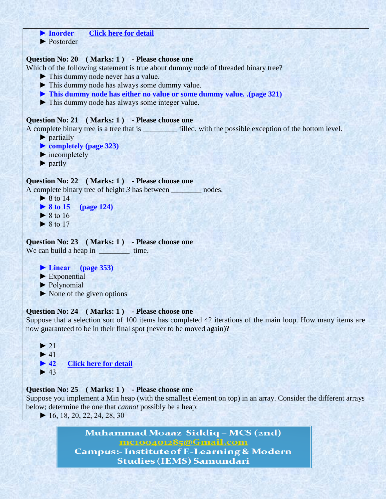```
 ► Inorder Click here for detail
     ► Postorder
Question No: 20 ( Marks: 1 ) - Please choose one
Which of the following statement is true about dummy node of threaded binary tree?
     ► This dummy node never has a value.
     ► This dummy node has always some dummy value.
     ► This dummy node has either no value or some dummy value. .(page 321)
     ► This dummy node has always some integer value.
Question No: 21 ( Marks: 1 ) - Please choose one
A complete binary tree is a tree that is __________ filled, with the possible exception of the bottom level.
     ► partially 
     ► completely (page 323)
    \blacktriangleright incompletely
     ► partly 
Question No: 22 ( Marks: 1 ) - Please choose one
A complete binary tree of height 3 has between ________ nodes. 
    \triangleright 8 to 14
     ► 8 to 15 (page 124)
    \triangleright 8 to 16
    \triangleright 8 to 17
Question No: 23 ( Marks: 1 ) - Please choose one
We can build a heap in __________ time.
     ► Linear (page 353)
     ► Exponential 
     ► Polynomial
    \blacktriangleright None of the given options
Question No: 24 ( Marks: 1 ) - Please choose one
Suppose that a selection sort of 100 items has completed 42 iterations of the main loop. How many items are 
now guaranteed to be in their final spot (never to be moved again)?
    \blacktriangleright 21
    \blacktriangleright 41
    ► 42Click here for detail
    \blacktriangleright 43
Question No: 25 ( Marks: 1 ) - Please choose one
Suppose you implement a Min heap (with the smallest element on top) in an array. Consider the different arrays 
below; determine the one that cannot possibly be a heap: 
    \blacktriangleright 16, 18, 20, 22, 24, 28, 30
                   Muhammad Moaaz Siddiq - MCS (2nd)
                              mc100401285@Gmail.com
               Campus:- Institute of E-Learning & Modern
```
**Studies (IEMS) Samundari**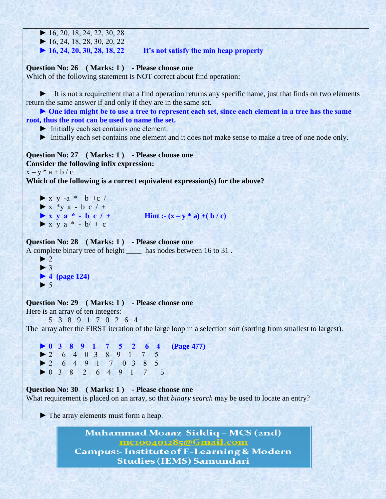